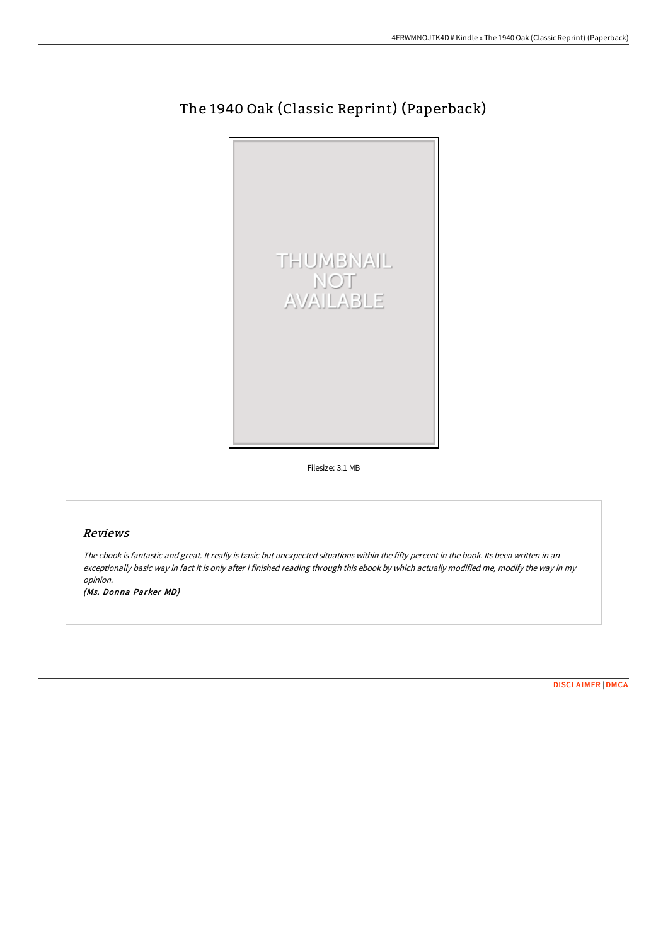

# The 1940 Oak (Classic Reprint) (Paperback)

Filesize: 3.1 MB

## Reviews

The ebook is fantastic and great. It really is basic but unexpected situations within the fifty percent in the book. Its been written in an exceptionally basic way in fact it is only after i finished reading through this ebook by which actually modified me, modify the way in my opinion.

(Ms. Donna Parker MD)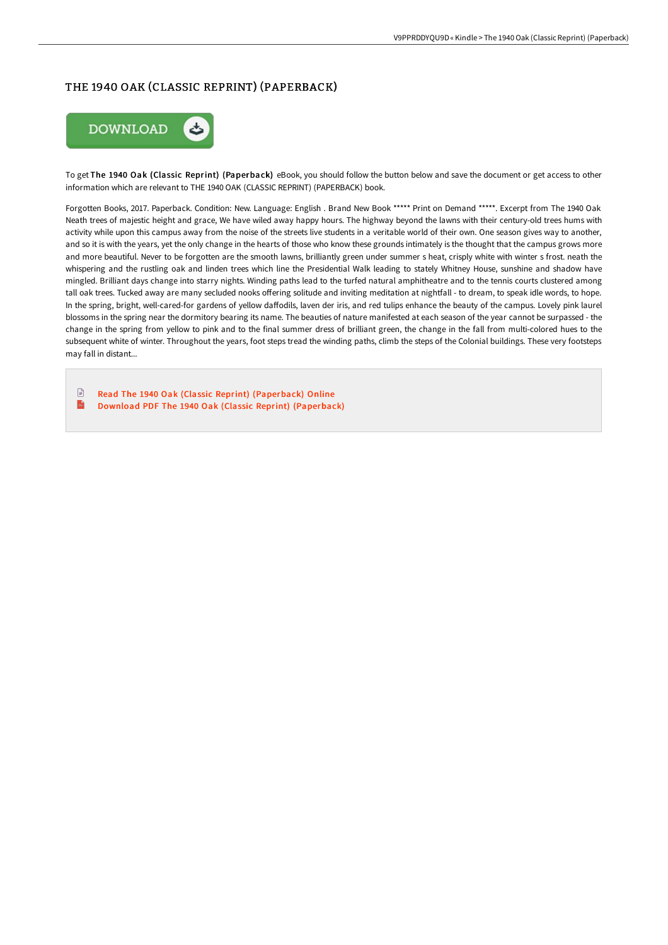# THE 1940 OAK (CLASSIC REPRINT) (PAPERBACK)



To get The 1940 Oak (Classic Reprint) (Paperback) eBook, you should follow the button below and save the document or get access to other information which are relevant to THE 1940 OAK (CLASSIC REPRINT) (PAPERBACK) book.

Forgotten Books, 2017. Paperback. Condition: New. Language: English . Brand New Book \*\*\*\*\* Print on Demand \*\*\*\*\*. Excerpt from The 1940 Oak Neath trees of majestic height and grace, We have wiled away happy hours. The highway beyond the lawns with their century-old trees hums with activity while upon this campus away from the noise of the streets live students in a veritable world of their own. One season gives way to another, and so it is with the years, yet the only change in the hearts of those who know these grounds intimately is the thought that the campus grows more and more beautiful. Never to be forgotten are the smooth lawns, brilliantly green under summer s heat, crisply white with winter s frost. neath the whispering and the rustling oak and linden trees which line the Presidential Walk leading to stately Whitney House, sunshine and shadow have mingled. Brilliant days change into starry nights. Winding paths lead to the turfed natural amphitheatre and to the tennis courts clustered among tall oak trees. Tucked away are many secluded nooks offering solitude and inviting meditation at nightfall - to dream, to speak idle words, to hope. In the spring, bright, well-cared-for gardens of yellow daffodils, laven der iris, and red tulips enhance the beauty of the campus. Lovely pink laurel blossoms in the spring near the dormitory bearing its name. The beauties of nature manifested at each season of the year cannot be surpassed - the change in the spring from yellow to pink and to the final summer dress of brilliant green, the change in the fall from multi-colored hues to the subsequent white of winter. Throughout the years, foot steps tread the winding paths, climb the steps of the Colonial buildings. These very footsteps may fall in distant...

 $\Box$ Read The 1940 Oak (Classic Reprint) [\(Paperback\)](http://digilib.live/the-1940-oak-classic-reprint-paperback.html) Online  $\frac{1}{100}$ Download PDF The 1940 Oak (Classic Reprint) [\(Paperback\)](http://digilib.live/the-1940-oak-classic-reprint-paperback.html)